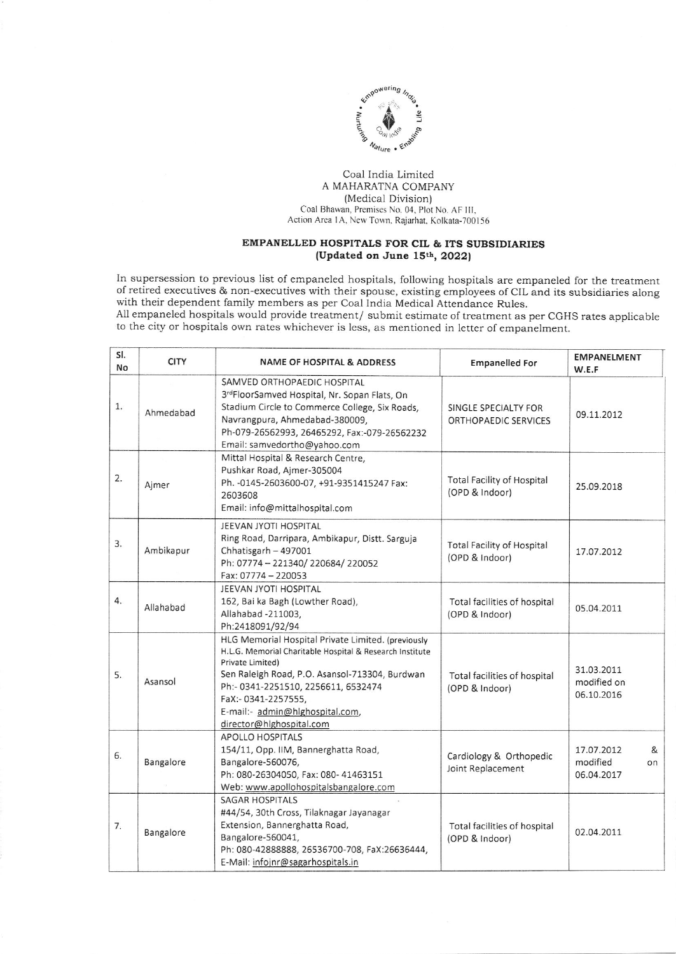

## Coal India Limited A MAHARATNA COMPANY (Medical Division) Coal Bhawan, Premises No. 04, Plot No. AF III, Action Area 1A, New Town, Rajarhat, Kolkata-700156

## EMPANELLED HOSPITALS FOR CIL & ITS SUBSIDIARIES (Updated on June 15th, 2022)

In supersession to previous Iist of empaneled hospitals, following hospitals are empaneled for the treatment of retired executives & non-executives with their spouse, existing employees of clL and its subsidiaries along with their dependent family members as per Coal lndia Medical Attendance Rules.

All empaneled hospitals would provide treatment/ submit estimate of treatment as per CGHS rates applicable to the city or hospitals own rates whichever is less, as mentioned in letter of empanelment.

| SI.<br>No | <b>CITY</b> | <b>NAME OF HOSPITAL &amp; ADDRESS</b>                                                                                                                                                                                                                                                                             | <b>Empanelled For</b>                               | <b>EMPANELMENT</b><br>W.E.F                     |
|-----------|-------------|-------------------------------------------------------------------------------------------------------------------------------------------------------------------------------------------------------------------------------------------------------------------------------------------------------------------|-----------------------------------------------------|-------------------------------------------------|
| 1.        | Ahmedabad   | SAMVED ORTHOPAEDIC HOSPITAL<br>3rdFloorSamved Hospital, Nr. Sopan Flats, On<br>Stadium Circle to Commerce College, Six Roads,<br>Navrangpura, Ahmedabad-380009,<br>Ph-079-26562993, 26465292, Fax:-079-26562232<br>Email: samvedortho@yahoo.com                                                                   | SINGLE SPECIALTY FOR<br>ORTHOPAEDIC SERVICES        | 09.11.2012                                      |
| 2.        | Ajmer       | Mittal Hospital & Research Centre,<br>Pushkar Road, Ajmer-305004<br>Ph. - 0145-2603600-07, +91-9351415247 Fax:<br>2603608<br>Email: info@mittalhospital.com                                                                                                                                                       | <b>Total Facility of Hospital</b><br>(OPD & Indoor) | 25.09.2018                                      |
| 3.        | Ambikapur   | JEEVAN JYOTI HOSPITAL<br>Ring Road, Darripara, Ambikapur, Distt. Sarguja<br>Chhatisgarh - 497001<br>Ph: 07774 - 221340/220684/220052<br>Fax: 07774 - 220053                                                                                                                                                       | <b>Total Facility of Hospital</b><br>(OPD & Indoor) | 17.07.2012                                      |
| 4.        | Allahabad   | JEEVAN JYOTI HOSPITAL<br>162, Bai ka Bagh (Lowther Road),<br>Allahabad -211003,<br>Ph:2418091/92/94                                                                                                                                                                                                               | Total facilities of hospital<br>(OPD & Indoor)      | 05.04.2011                                      |
| 5.        | Asansol     | HLG Memorial Hospital Private Limited. (previously<br>H.L.G. Memorial Charitable Hospital & Research Institute<br>Private Limited)<br>Sen Raleigh Road, P.O. Asansol-713304, Burdwan<br>Ph:- 0341-2251510, 2256611, 6532474<br>FaX:- 0341-2257555,<br>E-mail:- admin@hlghospital.com,<br>director@hlghospital.com | Total facilities of hospital<br>(OPD & Indoor)      | 31.03.2011<br>modified on<br>06.10.2016         |
| 6.        | Bangalore   | <b>APOLLO HOSPITALS</b><br>154/11, Opp. IIM, Bannerghatta Road,<br>Bangalore-560076,<br>Ph: 080-26304050, Fax: 080-41463151<br>Web: www.apollohospitalsbangalore.com                                                                                                                                              | Cardiology & Orthopedic<br>Joint Replacement        | 17.07.2012<br>&<br>modified<br>on<br>06.04.2017 |
| 7.        | Bangalore   | <b>SAGAR HOSPITALS</b><br>#44/54, 30th Cross, Tilaknagar Jayanagar<br>Extension, Bannerghatta Road,<br>Bangalore-560041,<br>Ph: 080-42888888, 26536700-708, FaX:26636444,<br>E-Mail: infojnr@sagarhospitals.in                                                                                                    | Total facilities of hospital<br>(OPD & Indoor)      | 02.04.2011                                      |